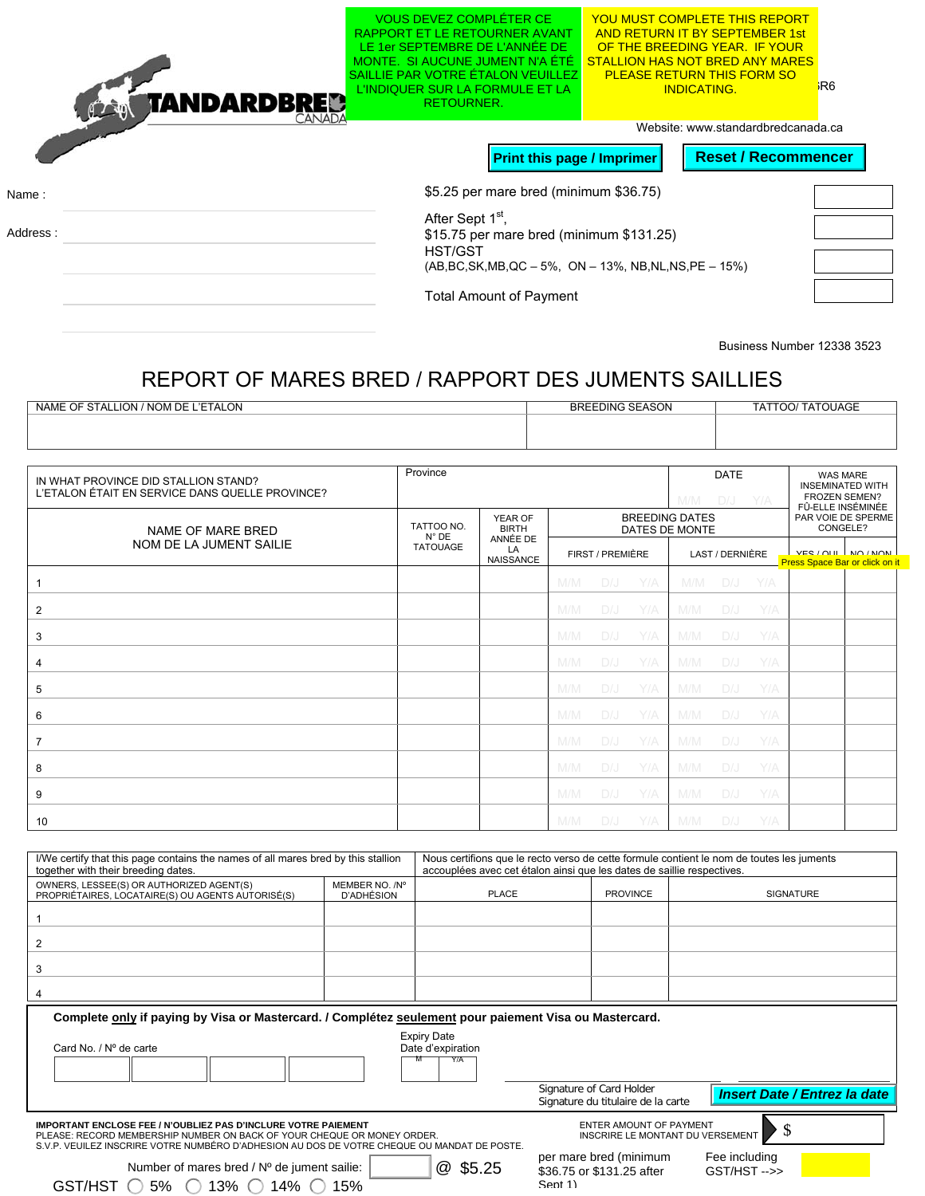|          | TANDARDBRED<br>CANADA | <b>VOUS DEVEZ COMPLETER CE</b><br>RAPPORT ET LE RETOURNER AVANT<br>LE 1er SEPTEMBRE DE L'ANNÉE DE<br>MONTE. SI AUCUNE JUMENT N'A ÉTÉ<br>SAILLIF PAR VOTRE FTALON VEUILLEZ<br>L'INDIQUER SUR LA FORMULE ET LA<br><b>RETOURNER.</b> | <u>YOU MUST COMPLETE THIS REPORT</u><br><b>AND RETURN IT BY SEPTEMBER 1st</b><br>OF THE BREEDING YEAR. IF YOUR<br><b>STALLION HAS NOT BRED ANY MARES</b><br><b>PLEASE RETURN THIS FORM SO</b><br><b>INDICATING.</b> | R6 <sup>i</sup> |  |  |
|----------|-----------------------|-----------------------------------------------------------------------------------------------------------------------------------------------------------------------------------------------------------------------------------|---------------------------------------------------------------------------------------------------------------------------------------------------------------------------------------------------------------------|-----------------|--|--|
|          |                       | <b>Print this page / Imprimer</b>                                                                                                                                                                                                 | Website: www.standardbredcanada.ca<br><b>Reset / Recommencer</b>                                                                                                                                                    |                 |  |  |
| Name:    |                       | \$5.25 per mare bred (minimum \$36.75)                                                                                                                                                                                            |                                                                                                                                                                                                                     |                 |  |  |
| Address: |                       | After Sept 1 <sup>st</sup> ,<br>\$15.75 per mare bred (minimum \$131.25)<br>HST/GST<br>$(AB, BC, SK, MB, QC - 5\%, ON - 13\%, NB, NL, NS, PE - 15\%)$                                                                             |                                                                                                                                                                                                                     |                 |  |  |
|          |                       | <b>Total Amount of Payment</b>                                                                                                                                                                                                    |                                                                                                                                                                                                                     |                 |  |  |

Business Number 12338 3523

## REPORT OF MARES BRED / RAPPORT DES JUMENTS SAILLIES

| <b>BREEDING SEASON</b> | TATTOO/ TATOUAGE |
|------------------------|------------------|
|                        |                  |
|                        |                  |
|                        |                  |

| Province<br>IN WHAT PROVINCE DID STALLION STAND?<br>L'ETALON ÉTAIT EN SERVICE DANS QUELLE PROVINCE? |                                                            |                  |     |                  | <b>DATE</b><br>$DJ - Y/A$<br>M/M |                                         |                 | <b>WAS MARE</b><br><b>INSEMINATED WITH</b><br><b>FROZEN SEMEN?</b><br>FÛ-ELLE INSÉMINÉE |                                |                     |
|-----------------------------------------------------------------------------------------------------|------------------------------------------------------------|------------------|-----|------------------|----------------------------------|-----------------------------------------|-----------------|-----------------------------------------------------------------------------------------|--------------------------------|---------------------|
| NAME OF MARE BRED<br>NOM DE LA JUMENT SAILIE                                                        | YEAR OF<br>TATTOO NO.<br><b>BIRTH</b><br>N° DE<br>ANNÉE DE |                  |     |                  |                                  | <b>BREEDING DATES</b><br>DATES DE MONTE |                 |                                                                                         | PAR VOIE DE SPERME<br>CONGELE? |                     |
|                                                                                                     | <b>TATOUAGE</b><br>LA                                      | <b>NAISSANCE</b> |     | FIRST / PREMIÈRE |                                  |                                         | LAST / DERNIÈRE |                                                                                         | Press Space Bar or click on it | VER / ALL LNA / NAN |
|                                                                                                     |                                                            |                  | M/M | D/J              | Y/A                              | M/M                                     | D/J Y/A         |                                                                                         |                                |                     |
| $\overline{2}$                                                                                      |                                                            |                  | M/M | D/J              | Y/A                              | M/M                                     | D/J             | Y/A                                                                                     |                                |                     |
| 3                                                                                                   |                                                            |                  | M/M | D/J              | Y/A                              | M/M                                     | D/J             | Y/A                                                                                     |                                |                     |
| 4                                                                                                   |                                                            |                  | M/M | D/J              | Y/A                              | M/M                                     | D/J             | Y/A                                                                                     |                                |                     |
| 5                                                                                                   |                                                            |                  | M/M | D/J              | Y/A                              | M/M                                     | D/J             | Y/A                                                                                     |                                |                     |
| 6                                                                                                   |                                                            |                  | M/M | D/J              | Y/A                              | M/M                                     |                 | D/J Y/A                                                                                 |                                |                     |
| 7                                                                                                   |                                                            |                  | M/M | D/J              | Y/A                              | M/M                                     | D/J             | Y/A                                                                                     |                                |                     |
| 8                                                                                                   |                                                            |                  | M/M | D/J              | Y/A                              | M/M                                     | D/J             | Y/A                                                                                     |                                |                     |
| 9                                                                                                   |                                                            |                  | M/M | D/J              | Y/A                              | M/M                                     | D/J             | Y/A                                                                                     |                                |                     |
| 10                                                                                                  |                                                            |                  | M/M | D/J              | Y/A                              | M/M                                     | D/J             | Y/A                                                                                     |                                |                     |

| I/We certify that this page contains the names of all mares bred by this stallion<br>together with their breeding dates.                                                                                                                        | Nous certifions que le recto verso de cette formule contient le nom de toutes les juments<br>accouplées avec cet étalon ainsi que les dates de saillie respectives. |              |                                                                |                                     |  |  |  |  |
|-------------------------------------------------------------------------------------------------------------------------------------------------------------------------------------------------------------------------------------------------|---------------------------------------------------------------------------------------------------------------------------------------------------------------------|--------------|----------------------------------------------------------------|-------------------------------------|--|--|--|--|
| OWNERS, LESSEE(S) OR AUTHORIZED AGENT(S)<br>PROPRIÉTAIRES, LOCATAIRE(S) OU AGENTS AUTORISÉ(S)                                                                                                                                                   | MEMBER NO. /N°<br>D'ADHÉSION                                                                                                                                        | <b>PLACE</b> | <b>PROVINCE</b>                                                | <b>SIGNATURE</b>                    |  |  |  |  |
|                                                                                                                                                                                                                                                 |                                                                                                                                                                     |              |                                                                |                                     |  |  |  |  |
| 2                                                                                                                                                                                                                                               |                                                                                                                                                                     |              |                                                                |                                     |  |  |  |  |
| 3                                                                                                                                                                                                                                               |                                                                                                                                                                     |              |                                                                |                                     |  |  |  |  |
|                                                                                                                                                                                                                                                 |                                                                                                                                                                     |              |                                                                |                                     |  |  |  |  |
| Complete only if paying by Visa or Mastercard. / Complétez seulement pour paiement Visa ou Mastercard.                                                                                                                                          |                                                                                                                                                                     |              |                                                                |                                     |  |  |  |  |
| <b>Expiry Date</b><br>Card No. / Nº de carte<br>Date d'expiration                                                                                                                                                                               |                                                                                                                                                                     |              |                                                                |                                     |  |  |  |  |
|                                                                                                                                                                                                                                                 |                                                                                                                                                                     | Y/A          |                                                                |                                     |  |  |  |  |
|                                                                                                                                                                                                                                                 |                                                                                                                                                                     |              | Signature of Card Holder<br>Signature du titulaire de la carte | <b>Insert Date / Entrez la date</b> |  |  |  |  |
| <b>IMPORTANT ENCLOSE FEE / N'OUBLIEZ PAS D'INCLURE VOTRE PAIEMENT</b><br>PLEASE: RECORD MEMBERSHIP NUMBER ON BACK OF YOUR CHEQUE OR MONEY ORDER.<br>S.V.P. VEUILEZ INSCRIRE VOTRE NUMBÉRO D'ADHESION AU DOS DE VOTRE CHEQUE OU MANDAT DE POSTE. | <b>ENTER AMOUNT OF PAYMENT</b><br>INSCRIRE LE MONTANT DU VERSEMENT                                                                                                  |              |                                                                |                                     |  |  |  |  |
| Number of mares bred / Nº de jument sailie:                                                                                                                                                                                                     |                                                                                                                                                                     | @ \$5.25     | per mare bred (minimum<br>\$36.75 or \$131.25 after            | Fee including<br>$GST/HST$ -->>     |  |  |  |  |
| Sent 1)<br>$5\%$ $\bigcirc$ 13% $\bigcirc$<br>14% $\subset$<br>GST/HST<br>15%<br>$\left( \quad \right)$                                                                                                                                         |                                                                                                                                                                     |              |                                                                |                                     |  |  |  |  |